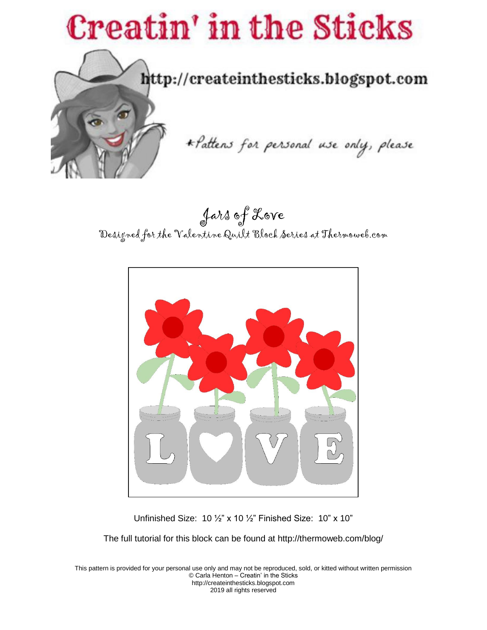

Jars of Love Designed for the Valentine Quilt Block Series at Thermoweb.com



Unfinished Size: 10 ½" x 10 ½" Finished Size: 10" x 10"

The full tutorial for this block can be found at http://thermoweb.com/blog/

This pattern is provided for your personal use only and may not be reproduced, sold, or kitted without written permission © Carla Henton – Creatin' in the Sticks http://createinthesticks.blogspot.com 2019 all rights reserved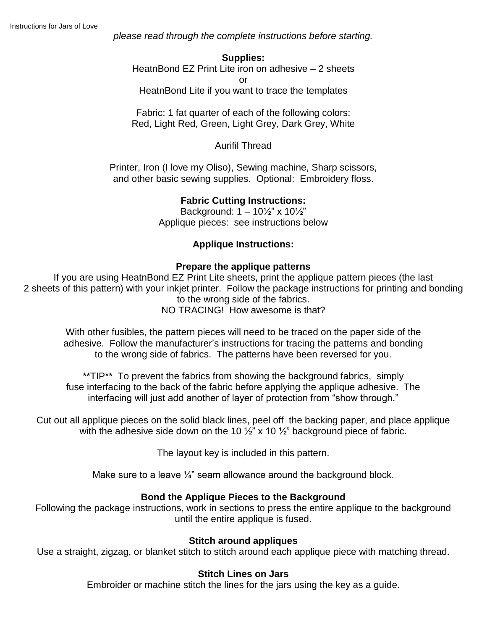*please read through the complete instructions before starting.*

#### **Supplies:**

HeatnBond EZ Print Lite iron on adhesive – 2 sheets

or

HeatnBond Lite if you want to trace the templates

Fabric: 1 fat quarter of each of the following colors: Red, Light Red, Green, Light Grey, Dark Grey, White

Aurifil Thread

Printer, Iron (I love my Oliso), Sewing machine, Sharp scissors, and other basic sewing supplies. Optional: Embroidery floss.

## **Fabric Cutting Instructions:**

Background:  $1 - 10\frac{1}{2}$ " x  $10\frac{1}{2}$ " Applique pieces: see instructions below

## **Applique Instructions:**

### **Prepare the applique patterns**

If you are using HeatnBond EZ Print Lite sheets, print the applique pattern pieces (the last 2 sheets of this pattern) with your inkjet printer. Follow the package instructions for printing and bonding to the wrong side of the fabrics. NO TRACING! How awesome is that?

With other fusibles, the pattern pieces will need to be traced on the paper side of the adhesive. Follow the manufacturer's instructions for tracing the patterns and bonding to the wrong side of fabrics. The patterns have been reversed for you.

\*\*TIP\*\* To prevent the fabrics from showing the background fabrics, simply fuse interfacing to the back of the fabric before applying the applique adhesive. The interfacing will just add another of layer of protection from "show through."

Cut out all applique pieces on the solid black lines, peel off the backing paper, and place applique with the adhesive side down on the 10  $\frac{1}{2}$ " x 10  $\frac{1}{2}$ " background piece of fabric.

The layout key is included in this pattern.

Make sure to a leave  $\frac{1}{4}$  seam allowance around the background block.

### **Bond the Applique Pieces to the Background**

Following the package instructions, work in sections to press the entire applique to the background until the entire applique is fused.

### **Stitch around appliques**

Use a straight, zigzag, or blanket stitch to stitch around each applique piece with matching thread.

### **Stitch Lines on Jars**

Embroider or machine stitch the lines for the jars using the key as a guide.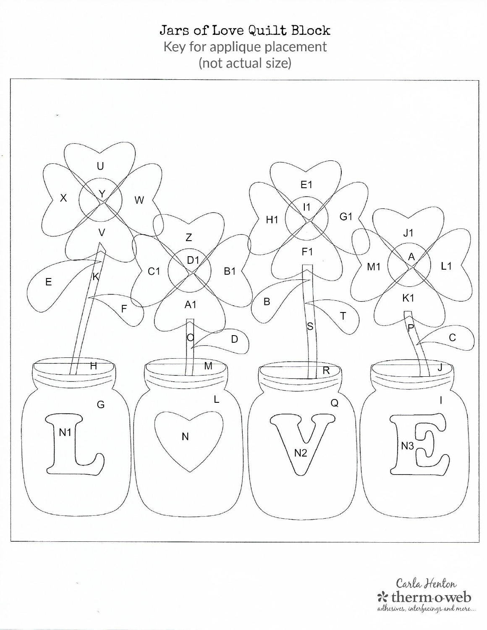Jars of Love Quilt Block Key for applique placement (not actual size)



Carla Henton \* therm o web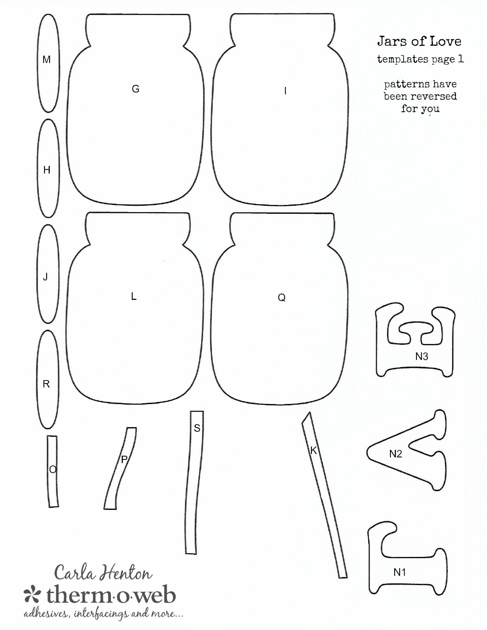